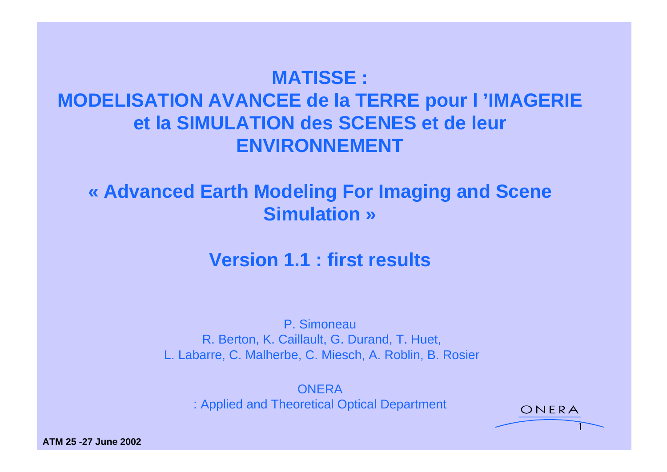# **MATISSE : MODELISATION AVANCEE de la TERRE pour l 'IMAGERIE et la SIMULATION des SCENES et de leur ENVIRONNEMENT**

### **« Advanced Earth Modeling For Imaging and Scene Simulation »**

### **Version 1.1 : first results**

P. Simoneau R. Berton, K. Caillault, G. Durand, T. Huet, L. Labarre, C. Malherbe, C. Miesch, A. Roblin, B. Rosier

**ONERA** *Contract de la contract de la contract de la contract de la contract de la contract de la contract de l* : Applied and Theoretical Optical Department CNERA

1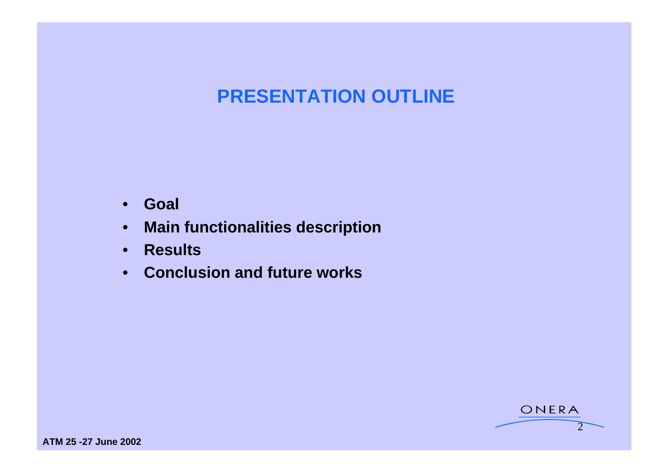# **PRESENTATION OUTLINE**

- **Goal**
- **Main functionalities description**
- **Results**
- **Conclusion and future works**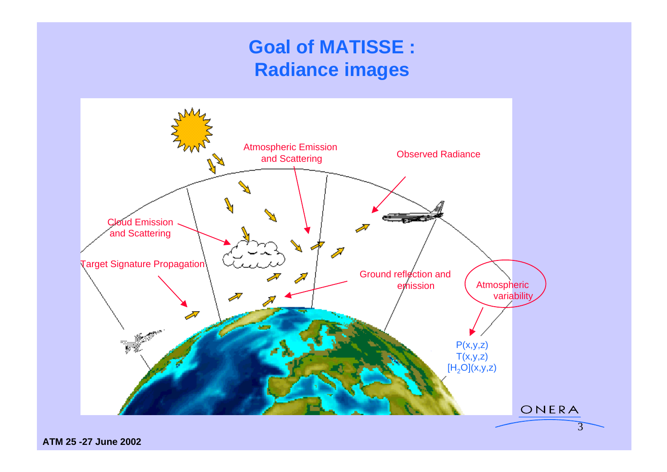## **Goal of MATISSE : Radiance images**

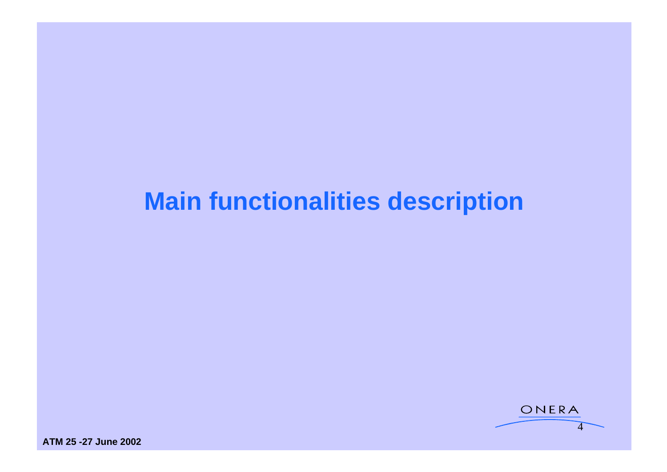# **Main functionalities description**

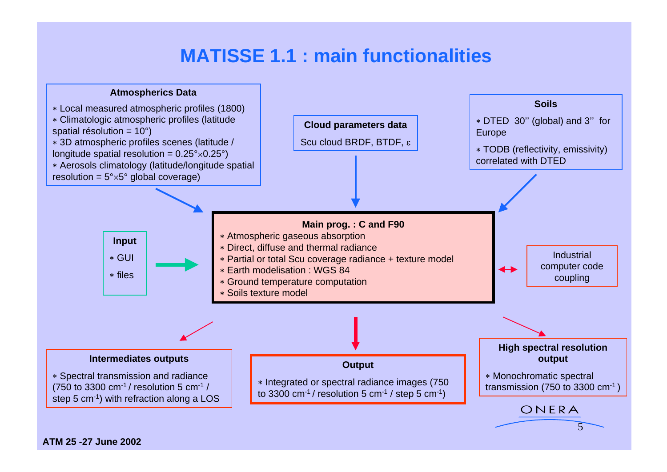### **MATISSE 1.1 : main functionalities**

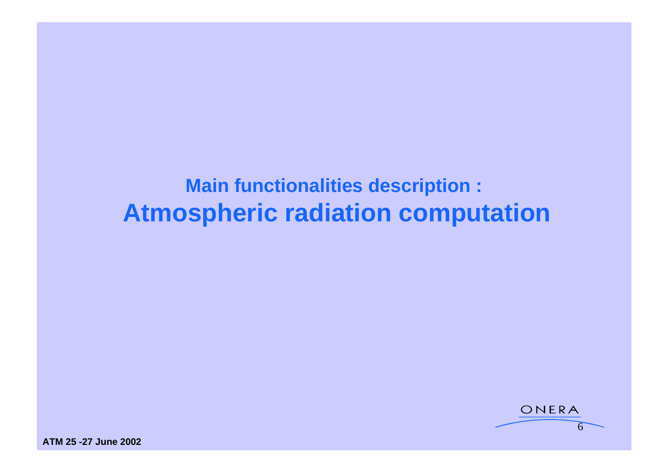# **Main functionalities description : Atmospheric radiation computation**

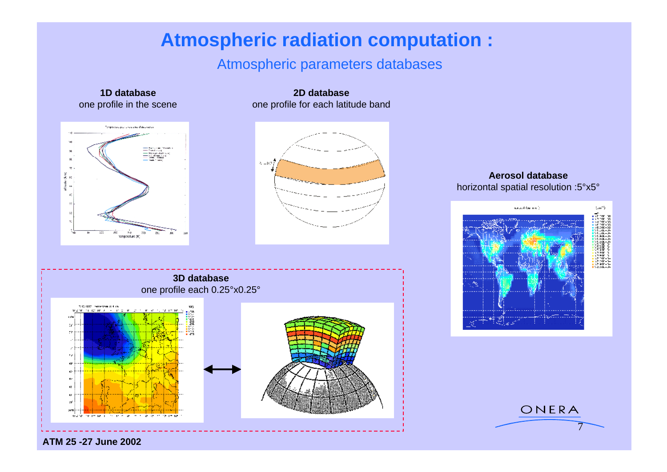### **Atmospheric radiation computation :**

#### Atmospheric parameters databases

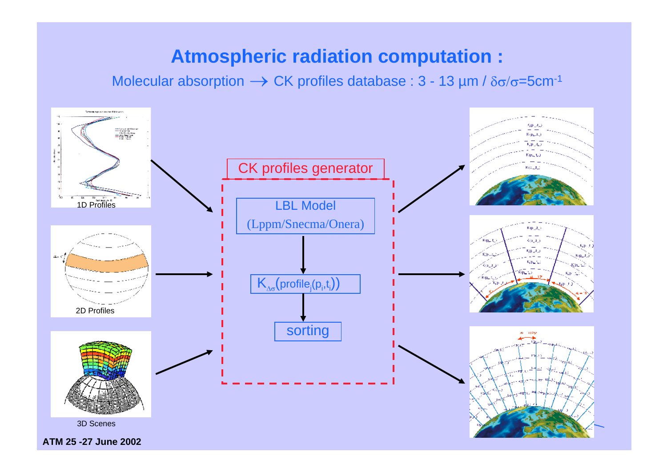### **Atmospheric radiation computation :**

Molecular absorption  $\rightarrow$  CK profiles database : 3 - 13 µm /  $\delta\sigma/\sigma$ =5cm<sup>-1</sup>

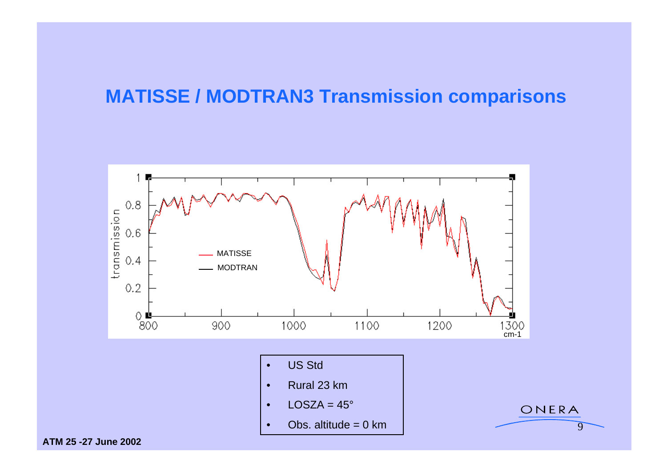## **MATISSE / MODTRAN3 Transmission comparisons**

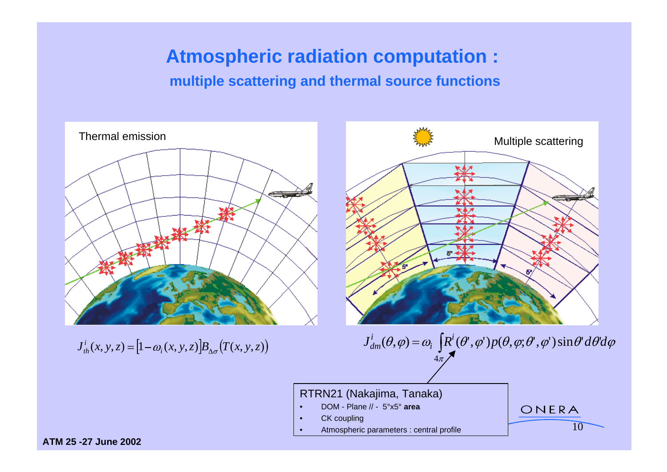### **Atmospheric radiation computation :**

#### **multiple scattering and thermal source functions**



 $J_{th}^{i}(x, y, z) = [1 - \omega_{i}(x, y, z)]B_{\Lambda_{\sigma}}(T(x, y, z))$ 



 $J_{dm}(\theta, \phi) = \omega_i$ ,  $\omega_i$ ,  $\omega_j$ ,  $\omega_j$ ,  $\omega_j$ ,  $\omega_j$ ,  $J_{dm}(\theta, \phi) = \omega_i$ ,  $\int_{\alpha}^{R} (\theta, \phi) p(\theta, \phi, \theta, \phi)$  sind aba $\phi$  $J_{dm}^{i}(\theta,\varphi) = \omega_{i} \left[ R^{i}(\theta^{\prime},\varphi^{\prime}) p(\theta,\varphi;\theta^{\prime},\varphi^{\prime}) \sin \theta^{\prime} d\theta^{\prime} d\varphi \right]$  $\mu_i$  or  $(\nu_i, \psi_j)$   $p(\nu_i, \psi_j, \nu_j)$  since  $\alpha \nu_i$   $\psi$  $\int_a^i (\theta, \phi) = \omega \int_a^i [\theta'(\theta', \phi')] n(\theta, \phi; \theta', \phi') \sin \theta' d\theta' d\phi$  $d_{dm}(\theta, \varphi) = \omega_i \left[ R'(\theta', \varphi') p(\theta, \varphi; \theta', \varphi') \sin \theta' d\theta' d\varphi \right]$  $4\pi$  /  $\sim$  100  $\mu$  /  $\sim$  100  $\mu$  /  $\sim$  100  $\mu$  /  $\sim$  100  $\mu$ 

 $10$ 

#### RTRN21 (Nakajima, Tanaka)

- DOM Plane // 5°x5° **area**
- CK coupling the control of the control of the control of the control of the control of the control of the control of the control of the control of the control of the control of the control of the control of the control o
- Atmospheric parameters : central profile  $10$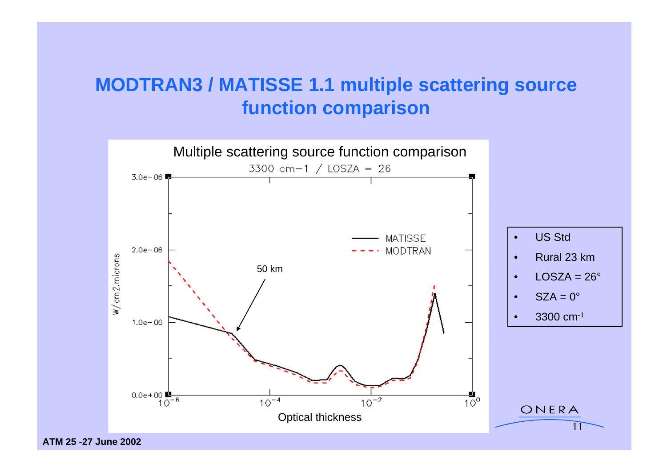## **MODTRAN3 / MATISSE 1.1 multiple scattering source function comparison**

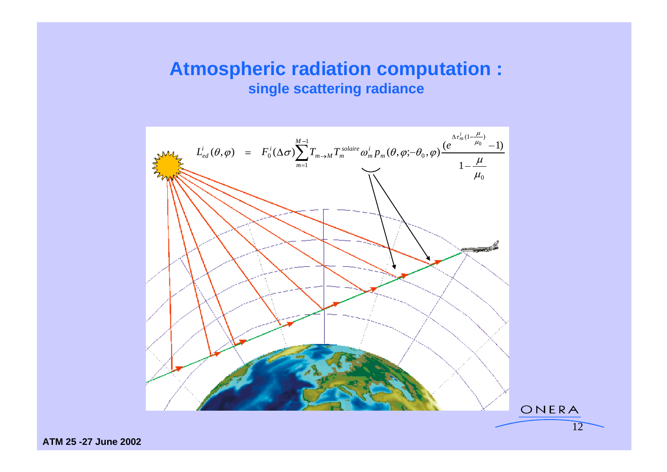#### **Atmospheric radiation computation : single scattering radiance**

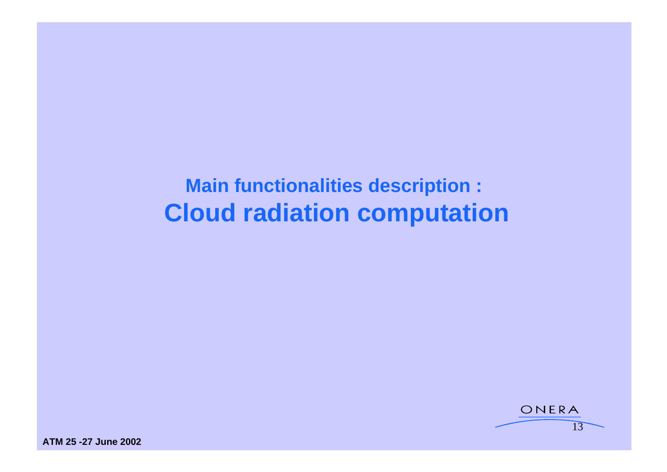**Main functionalities description : Cloud radiation computation**

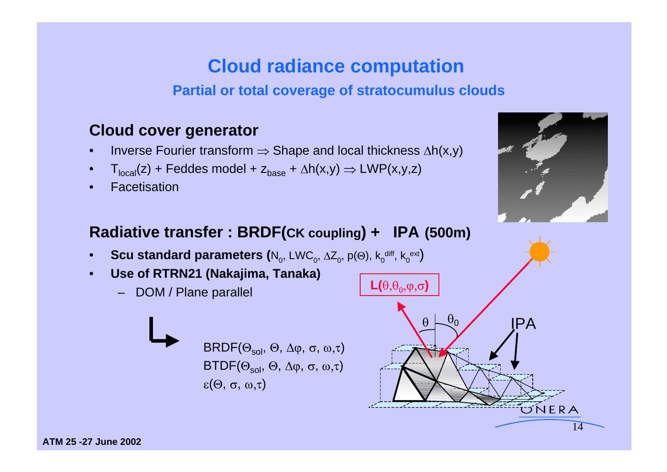### **Cloud radiance computation**

**Partial or total coverage of stratocumulus clouds**

### **Cloud cover generator**

- Inverse Fourier transform  $\Rightarrow$  Shape and local thickness  $\Delta h(x,y)$
- $T_{\text{local}}(z)$  + Feddes model +  $z_{\text{base}}$  +  $\Delta h(x,y) \Rightarrow LWP(x,y,z)$
- 



#### **Radiative transfer : BRDF(CK coupling) + IPA (500m)**

- **Scu standard parameters (**N<sub>0</sub>, LWC<sub>0</sub>,  $\Delta Z_0$ , p( $\Theta$ ), k<sub>0</sub><sup>diff</sup>, k<sub>0</sub><sup>ext</sup>) and the contract of the contract of the contract of the contract of the contract of the contract of the contract of the contract of the c ,  $\Delta Z_0$ ,  $p(\Theta)$ ,  $k_0$ <sup>diff</sup>,  $k_0$ <sup>ext</sup>) ,  $p(\Theta)$ ,  $k_0^{\text{diff}}$ ,  $k_0^{\text{ext}}$
- Use of RTRN21 (Nakajima, Tanaka)<br>
Analytic DOM / Plane parallel
	- DOM / Plane parallel



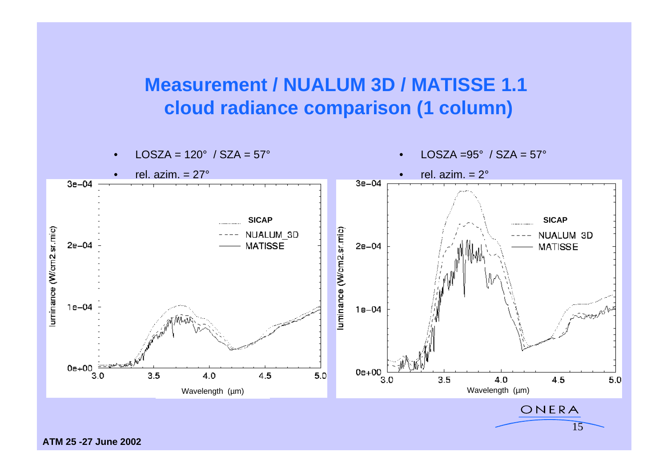### **Measurement / NUALUM 3D / MATISSE 1.1 cloud radiance comparison (1 column)**

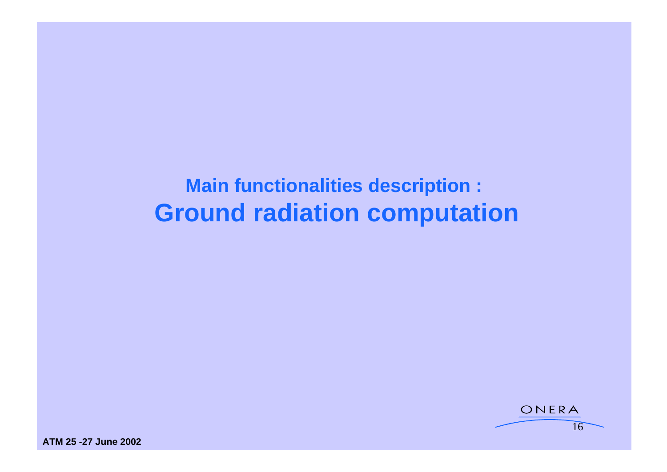# **Main functionalities description : Ground radiation computation**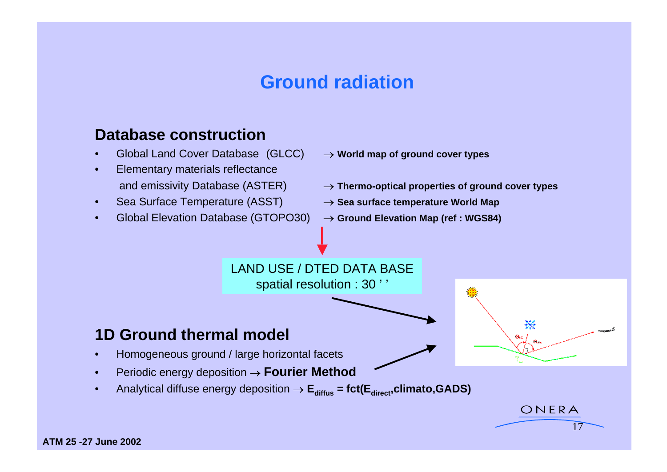### **Ground radiation**

#### **Database construction**

- Global Land Cover Database (GLCC)  $\rightarrow$  World map of ground cover types
- Elementary materials reflectance
- Sea Surface Temperature (ASST) **Sea surface temperature World Map**
- Global Elevation Database (GTOPO30)  $\rightarrow$  Ground Elevation Map (ref : WGS84)
- 
- and emissivity Database (ASTER) **Thermo-optical properties of ground cover types**

ONERA

 $\sqrt{17}$ 

- 
- 



spatial resolution : 30 ' '

# **1D Ground thermal model thermal model**

- Homogeneous ground / large horizontal facets
- Periodic energy deposition  $\rightarrow$  **Fourier Method**
- Analytical diffuse energy deposition  $\rightarrow$   $E_{\text{diffus}}$  = fct( $E_{\text{direct}}$ ,climato,GADS)

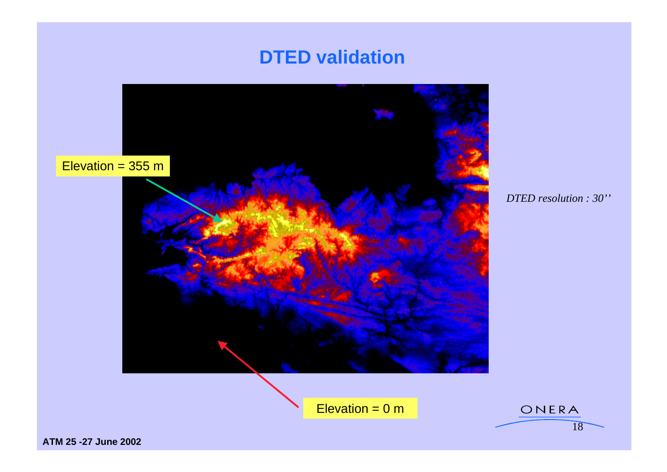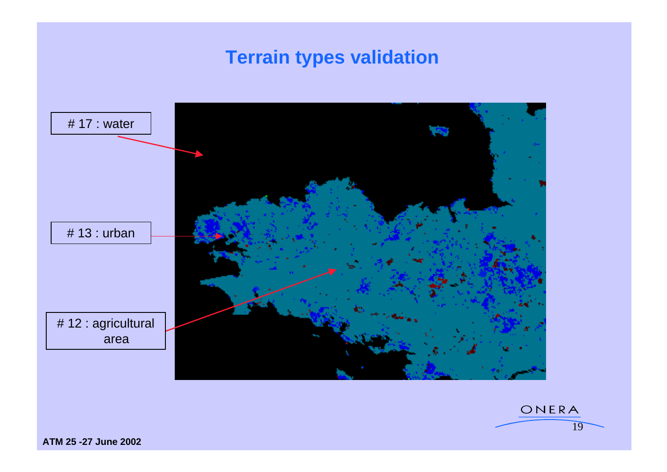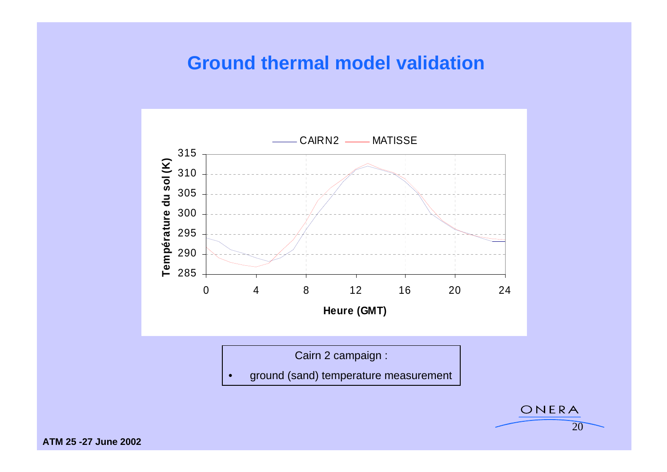### **Ground thermal model validation**



20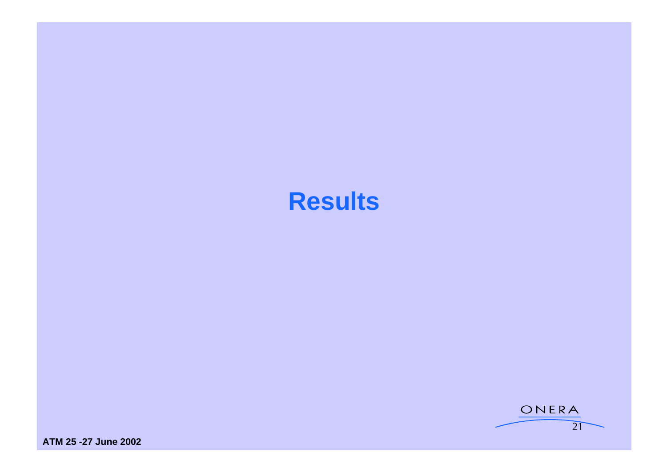# **Results**

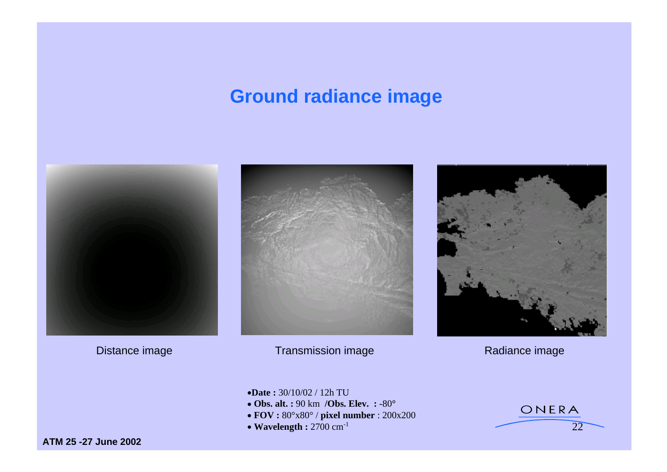## **Ground radiance image**

![](_page_21_Picture_1.jpeg)

![](_page_21_Picture_3.jpeg)

Distance image Transmission image Transmission image Radiance image Radiance image

![](_page_21_Picture_5.jpeg)

22  $\sim$ 

- **Date :** 30/10/02 / 12h TU
- $\bullet$  Obs. alt. : 90 km /Obs. Elev. : -80°<br>  $\bullet$  FOV: 808:-808 (rivel number: 200:-200
- **FOV :** 80°x80° / **pixel number** : 200x200
- Wavelength : 2700 cm<sup>-1</sup> 22

![](_page_21_Picture_11.jpeg)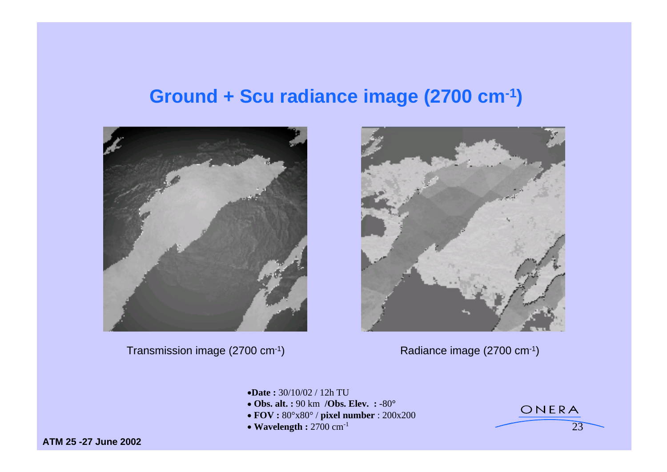### **Ground + Scu radiance image (2700 cm-1)**

![](_page_22_Picture_1.jpeg)

Transmission image (2700 cm<sup>-1</sup>) Radiance image (2700 cm<sup>-1</sup>)

![](_page_22_Picture_3.jpeg)

23

- **Date :** 30/10/02 / 12h TU
- **Obs. alt. :** 90 km **/Obs. Elev. :** -80**°**
- **FOV :** 80°x80° / **pixel number** : 200x200
- Wavelength : 2700 cm<sup>-1</sup> 23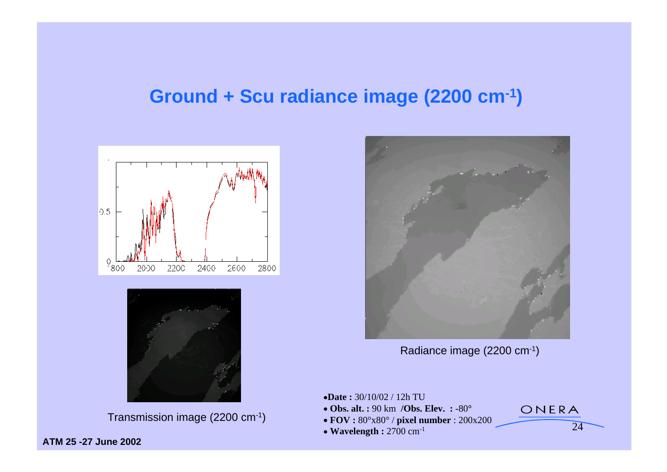### **Ground + Scu radiance image (2200 cm-1)**

![](_page_23_Figure_1.jpeg)

![](_page_23_Figure_2.jpeg)

Transmission image (2200 cm<sup>-1</sup>) <br> **• Obs. alt. :** 90 km /Obs. Elev. : -80°<br>
• FOV :  $80^{\circ} \times 80^{\circ}$  / pixel number :  $200 \times 200$ <br>
24

![](_page_23_Picture_4.jpeg)

Radiance image (2200 cm-1)

- **Date :** 30/10/02 / 12h TU
- **Obs. alt. :** 90 km **/Obs. Elev. :** -80**°**
- **FOV :** 80°x80° / **pixel number** : 200x200
- **Wavelength :** 2700 cm-1

 $24$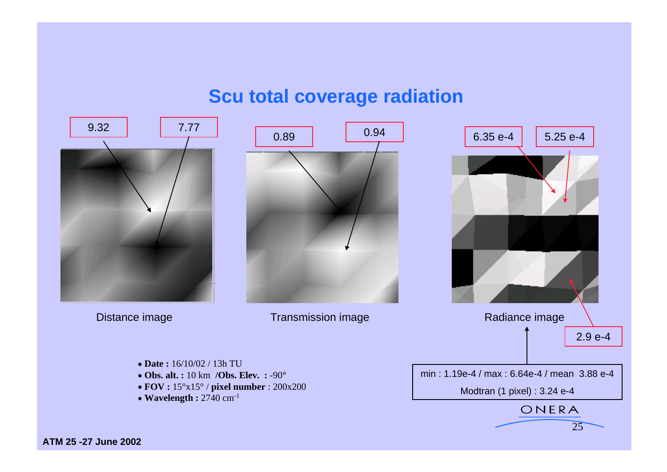### **Scu total coverage radiation**

![](_page_24_Picture_1.jpeg)

![](_page_24_Figure_2.jpeg)

 $25$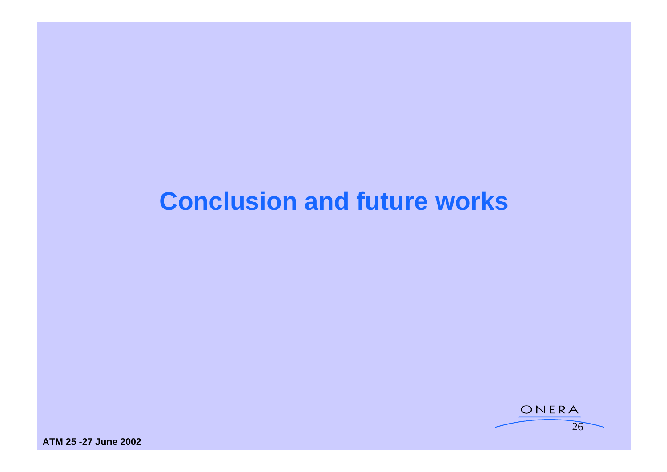# **Conclusion and future works**

![](_page_25_Figure_1.jpeg)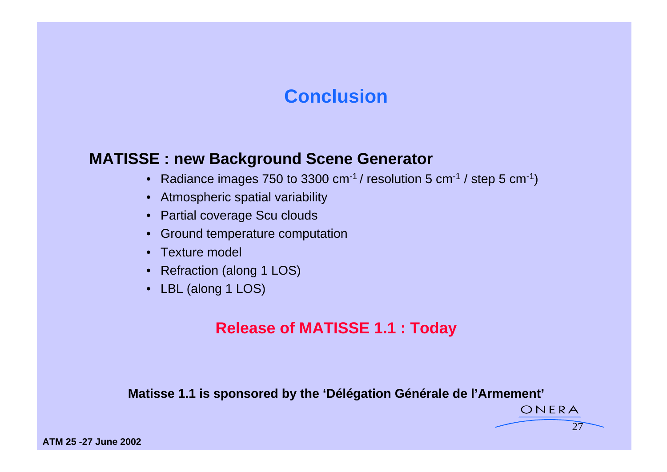### **Conclusion Conclusion**

#### **MATISSE : new Background Scene Generator**

- Radiance images 750 to 3300 cm<sup>-1</sup> / resolution 5 cm<sup>-1</sup> / step 5 cm<sup>-1</sup>)
- Atmospheric spatial variability
- Partial coverage Scu clouds
- Ground temperature computation
- Texture model
- Refraction (along 1 LOS)
- LBL (along 1 LOS)

#### **Release of MATISSE 1.1 : Today**

#### **Matisse 1.1 is sponsored by the 'Délégation Générale de l'Armement'**

ONERA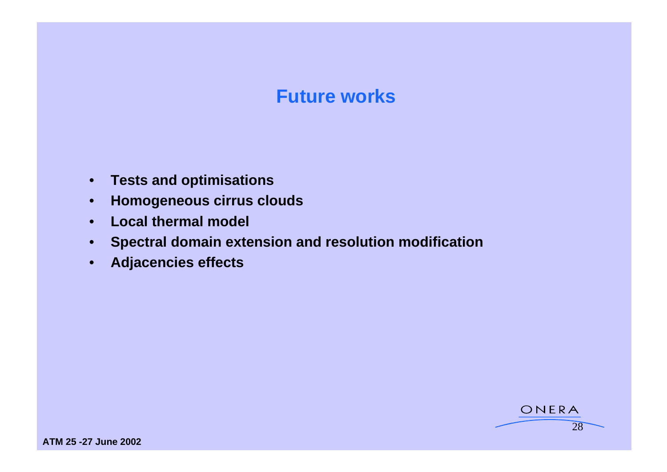### **Future works**

- **Tests and optimisations**
- **Homogeneous cirrus clouds**
- **Local thermal model**
- **Spectral domain extension and resolution modification**
- **Adjacencies effects**

ONERA

28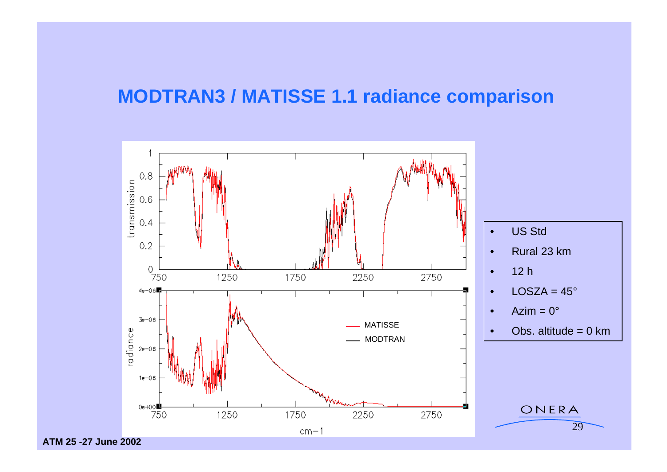### **MODTRAN3 / MATISSE 1.1 radiance comparison**

![](_page_28_Figure_1.jpeg)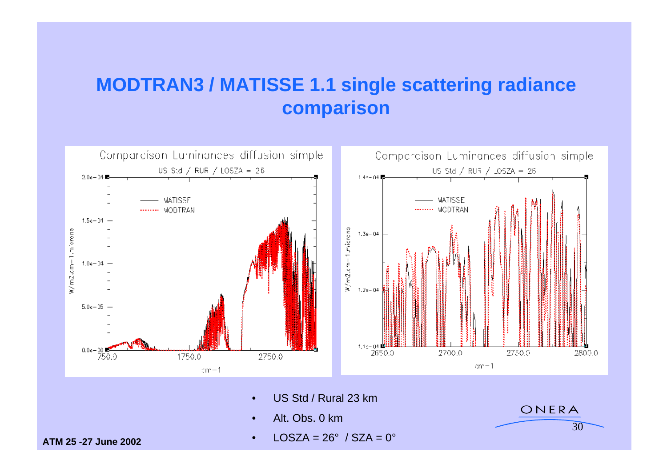## **MODTRAN3 / MATISSE 1.1 single scattering radiance comparison**

![](_page_29_Figure_1.jpeg)

- US Std / Rural 23 km
- Alt. Obs. 0 km in the contract of the contract of the contract of the contract of the contract of the contract of the contract of the contract of the contract of the contract of the contract of the contract of the contra
- **ATM 25 -27 June 2002** •  $LOSZA = 26^\circ$  / SZA =  $0^\circ$

 $30<sup>o</sup>$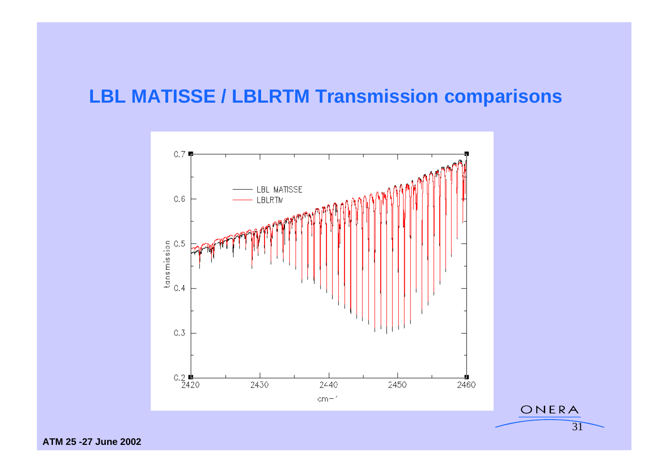### **LBL MATISSE / LBLRTM Transmission comparisons**

![](_page_30_Figure_1.jpeg)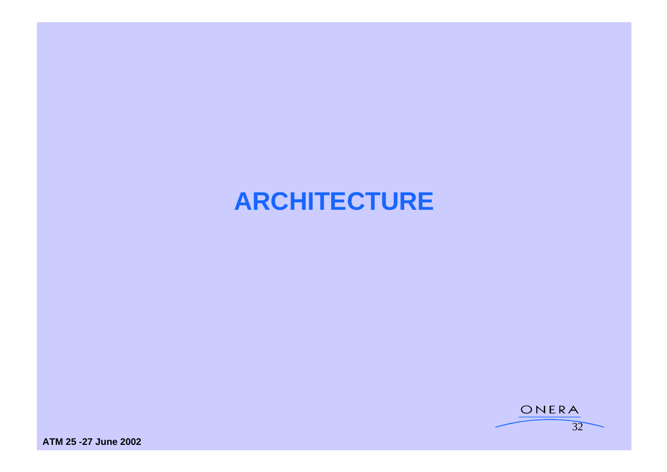# **ARCHITECTURE**

![](_page_31_Figure_1.jpeg)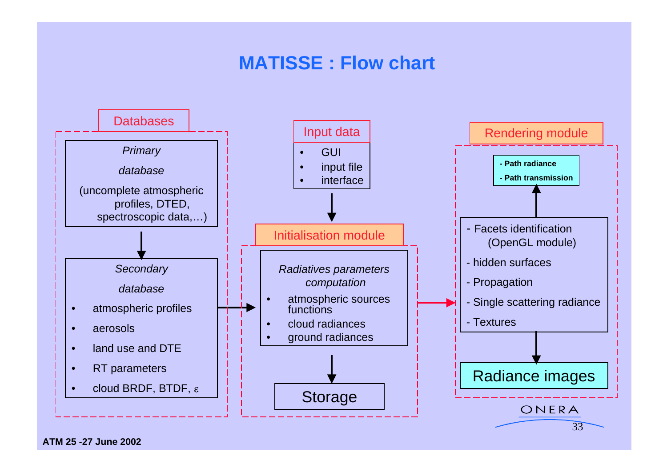## **MATISSE : Flow chart**

![](_page_32_Figure_1.jpeg)